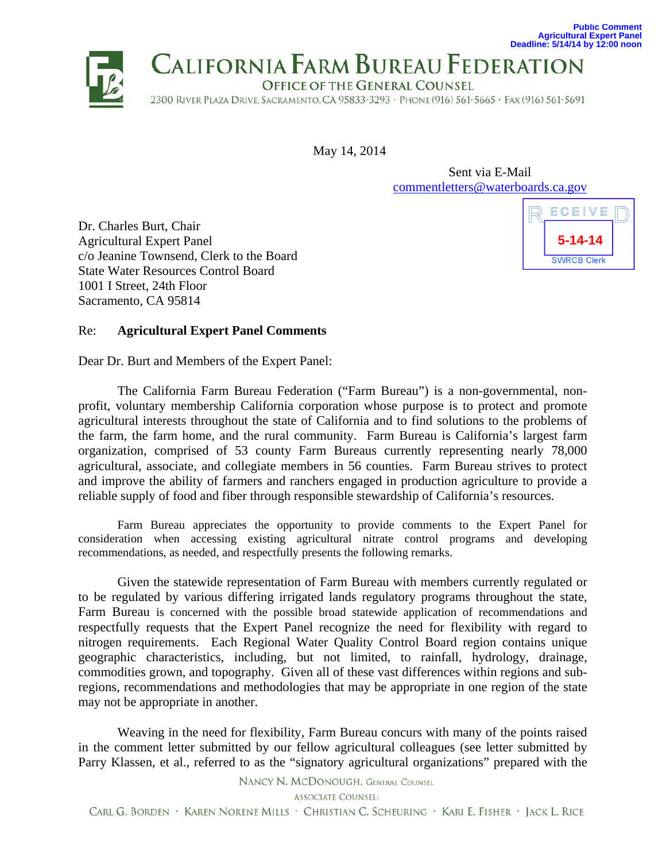

May 14, 2014

Sent via E-Mail commentletters@waterboards.ca.gov

Dr. Charles Burt, Chair Agricultural Expert Panel c/o Jeanine Townsend, Clerk to the Board State Water Resources Control Board 1001 I Street, 24th Floor Sacramento, CA 95814



**Public Comment**

## Re: **Agricultural Expert Panel Comments**

Dear Dr. Burt and Members of the Expert Panel:

The California Farm Bureau Federation ("Farm Bureau") is a non-governmental, nonprofit, voluntary membership California corporation whose purpose is to protect and promote agricultural interests throughout the state of California and to find solutions to the problems of the farm, the farm home, and the rural community. Farm Bureau is California's largest farm organization, comprised of 53 county Farm Bureaus currently representing nearly 78,000 agricultural, associate, and collegiate members in 56 counties. Farm Bureau strives to protect and improve the ability of farmers and ranchers engaged in production agriculture to provide a reliable supply of food and fiber through responsible stewardship of California's resources.

Farm Bureau appreciates the opportunity to provide comments to the Expert Panel for consideration when accessing existing agricultural nitrate control programs and developing recommendations, as needed, and respectfully presents the following remarks.

Given the statewide representation of Farm Bureau with members currently regulated or to be regulated by various differing irrigated lands regulatory programs throughout the state, Farm Bureau is concerned with the possible broad statewide application of recommendations and respectfully requests that the Expert Panel recognize the need for flexibility with regard to nitrogen requirements. Each Regional Water Quality Control Board region contains unique geographic characteristics, including, but not limited, to rainfall, hydrology, drainage, commodities grown, and topography. Given all of these vast differences within regions and subregions, recommendations and methodologies that may be appropriate in one region of the state may not be appropriate in another.

Weaving in the need for flexibility, Farm Bureau concurs with many of the points raised in the comment letter submitted by our fellow agricultural colleagues (see letter submitted by Parry Klassen, et al., referred to as the "signatory agricultural organizations" prepared with the

NANCY N. MCDONOUGH, GENERAL COUNSEL

**ASSOCIATE COUNSEL:** 

CARL G. BORDEN · KAREN NORENE MILLS · CHRISTIAN C. SCHEURING · KARI E. FISHER · JACK L. RICE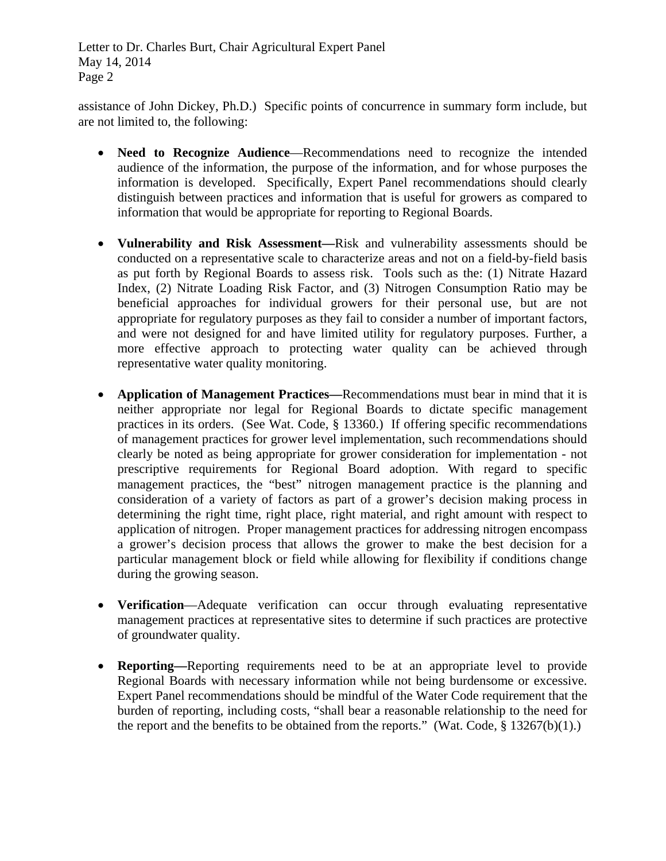Letter to Dr. Charles Burt, Chair Agricultural Expert Panel May 14, 2014 Page 2

assistance of John Dickey, Ph.D.) Specific points of concurrence in summary form include, but are not limited to, the following:

- **Need to Recognize Audience**—Recommendations need to recognize the intended audience of the information, the purpose of the information, and for whose purposes the information is developed. Specifically, Expert Panel recommendations should clearly distinguish between practices and information that is useful for growers as compared to information that would be appropriate for reporting to Regional Boards.
- **Vulnerability and Risk Assessment—**Risk and vulnerability assessments should be conducted on a representative scale to characterize areas and not on a field-by-field basis as put forth by Regional Boards to assess risk. Tools such as the: (1) Nitrate Hazard Index, (2) Nitrate Loading Risk Factor, and (3) Nitrogen Consumption Ratio may be beneficial approaches for individual growers for their personal use, but are not appropriate for regulatory purposes as they fail to consider a number of important factors, and were not designed for and have limited utility for regulatory purposes. Further, a more effective approach to protecting water quality can be achieved through representative water quality monitoring.
- **Application of Management Practices—**Recommendations must bear in mind that it is neither appropriate nor legal for Regional Boards to dictate specific management practices in its orders. (See Wat. Code, § 13360.) If offering specific recommendations of management practices for grower level implementation, such recommendations should clearly be noted as being appropriate for grower consideration for implementation - not prescriptive requirements for Regional Board adoption. With regard to specific management practices, the "best" nitrogen management practice is the planning and consideration of a variety of factors as part of a grower's decision making process in determining the right time, right place, right material, and right amount with respect to application of nitrogen. Proper management practices for addressing nitrogen encompass a grower's decision process that allows the grower to make the best decision for a particular management block or field while allowing for flexibility if conditions change during the growing season.
- **Verification**—Adequate verification can occur through evaluating representative management practices at representative sites to determine if such practices are protective of groundwater quality.
- **Reporting—**Reporting requirements need to be at an appropriate level to provide Regional Boards with necessary information while not being burdensome or excessive. Expert Panel recommendations should be mindful of the Water Code requirement that the burden of reporting, including costs, "shall bear a reasonable relationship to the need for the report and the benefits to be obtained from the reports." (Wat. Code,  $\S$  13267(b)(1).)